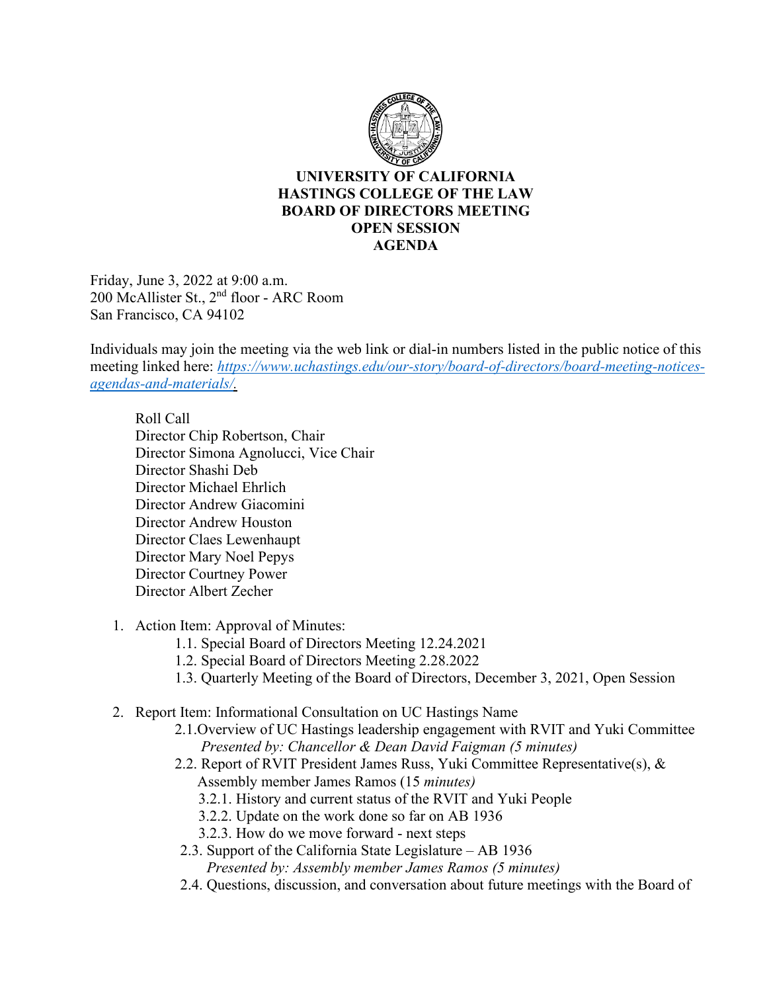

## **UNIVERSITY OF CALIFORNIA HASTINGS COLLEGE OF THE LAW BOARD OF DIRECTORS MEETING OPEN SESSION AGENDA**

Friday, June 3, 2022 at 9:00 a.m. 200 McAllister St., 2nd floor - ARC Room San Francisco, CA 94102

Individuals may join the meeting via the web link or dial-in numbers listed in the public notice of this meeting linked here: *[https://www.uchastings.edu/our-story/board-of-directors/board-meeting-notices](https://www.uchastings.edu/our-story/board-of-directors/board-meeting-notices-agendas-and-materials/)[agendas-and-materials/.](https://www.uchastings.edu/our-story/board-of-directors/board-meeting-notices-agendas-and-materials/)* 

Roll Call Director Chip Robertson, Chair Director Simona Agnolucci, Vice Chair Director Shashi Deb Director Michael Ehrlich Director Andrew Giacomini Director Andrew Houston Director Claes Lewenhaupt Director Mary Noel Pepys Director Courtney Power Director Albert Zecher

- 1. Action Item: Approval of Minutes:
	- 1.1. Special Board of Directors Meeting 12.24.2021
	- 1.2. Special Board of Directors Meeting 2.28.2022
	- 1.3. Quarterly Meeting of the Board of Directors, December 3, 2021, Open Session
- 2. Report Item: Informational Consultation on UC Hastings Name
	- 2.1.Overview of UC Hastings leadership engagement with RVIT and Yuki Committee *Presented by: Chancellor & Dean David Faigman (5 minutes)*
	- 2.2. Report of RVIT President James Russ, Yuki Committee Representative(s), & Assembly member James Ramos (15 *minutes)* 
		- 3.2.1. History and current status of the RVIT and Yuki People
		- 3.2.2. Update on the work done so far on AB 1936
		- 3.2.3. How do we move forward next steps
	- 2.3. Support of the California State Legislature AB 1936 *Presented by: Assembly member James Ramos (5 minutes)*
	- 2.4. Questions, discussion, and conversation about future meetings with the Board of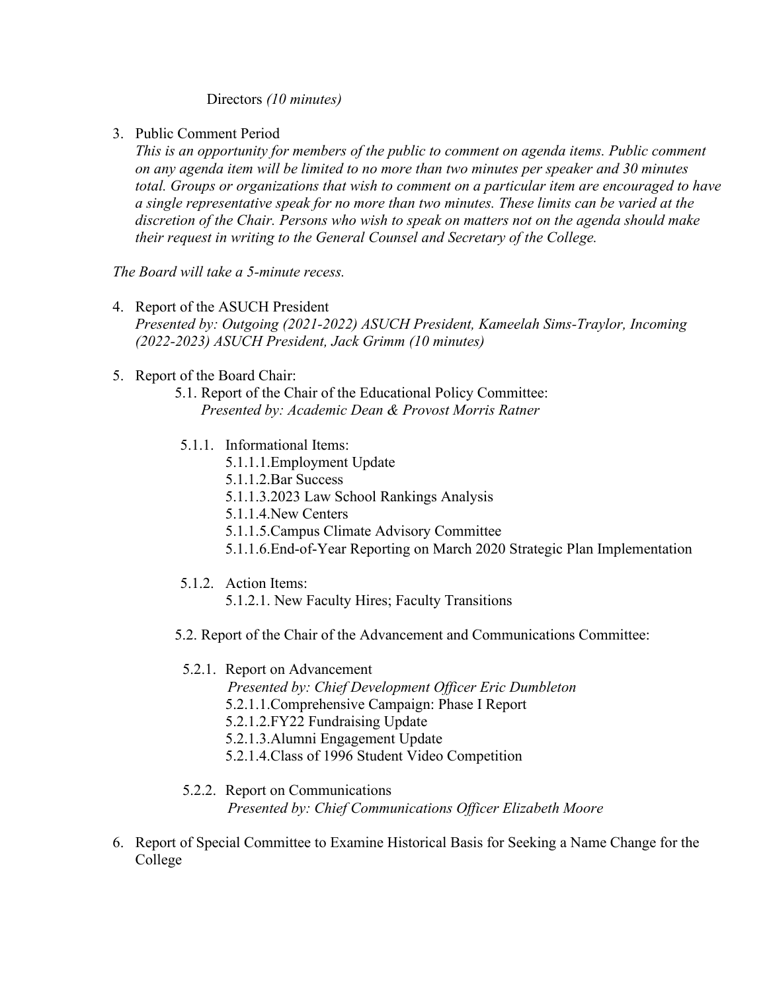Directors *(10 minutes)*

3. Public Comment Period

*This is an opportunity for members of the public to comment on agenda items. Public comment on any agenda item will be limited to no more than two minutes per speaker and 30 minutes total. Groups or organizations that wish to comment on a particular item are encouraged to have a single representative speak for no more than two minutes. These limits can be varied at the discretion of the Chair. Persons who wish to speak on matters not on the agenda should make their request in writing to the General Counsel and Secretary of the College.*

*The Board will take a 5-minute recess.*

- 4. Report of the ASUCH President *Presented by: Outgoing (2021-2022) ASUCH President, Kameelah Sims-Traylor, Incoming (2022-2023) ASUCH President, Jack Grimm (10 minutes)*
- 5. Report of the Board Chair:
	- 5.1. Report of the Chair of the Educational Policy Committee: *Presented by: Academic Dean & Provost Morris Ratner*
	- 5.1.1. Informational Items:
		- 5.1.1.1.Employment Update
		- 5.1.1.2.Bar Success
		- 5.1.1.3.2023 Law School Rankings Analysis
		- 5.1.1.4.New Centers
		- 5.1.1.5.Campus Climate Advisory Committee
		- 5.1.1.6.End-of-Year Reporting on March 2020 Strategic Plan Implementation
	- 5.1.2. Action Items:
		- 5.1.2.1. New Faculty Hires; Faculty Transitions
	- 5.2. Report of the Chair of the Advancement and Communications Committee:
		- 5.2.1. Report on Advancement
			- *Presented by: Chief Development Officer Eric Dumbleton*
			- 5.2.1.1.Comprehensive Campaign: Phase I Report
			- 5.2.1.2.FY22 Fundraising Update
			- 5.2.1.3.Alumni Engagement Update
			- 5.2.1.4.Class of 1996 Student Video Competition
		- 5.2.2. Report on Communications *Presented by: Chief Communications Officer Elizabeth Moore*
- 6. Report of Special Committee to Examine Historical Basis for Seeking a Name Change for the College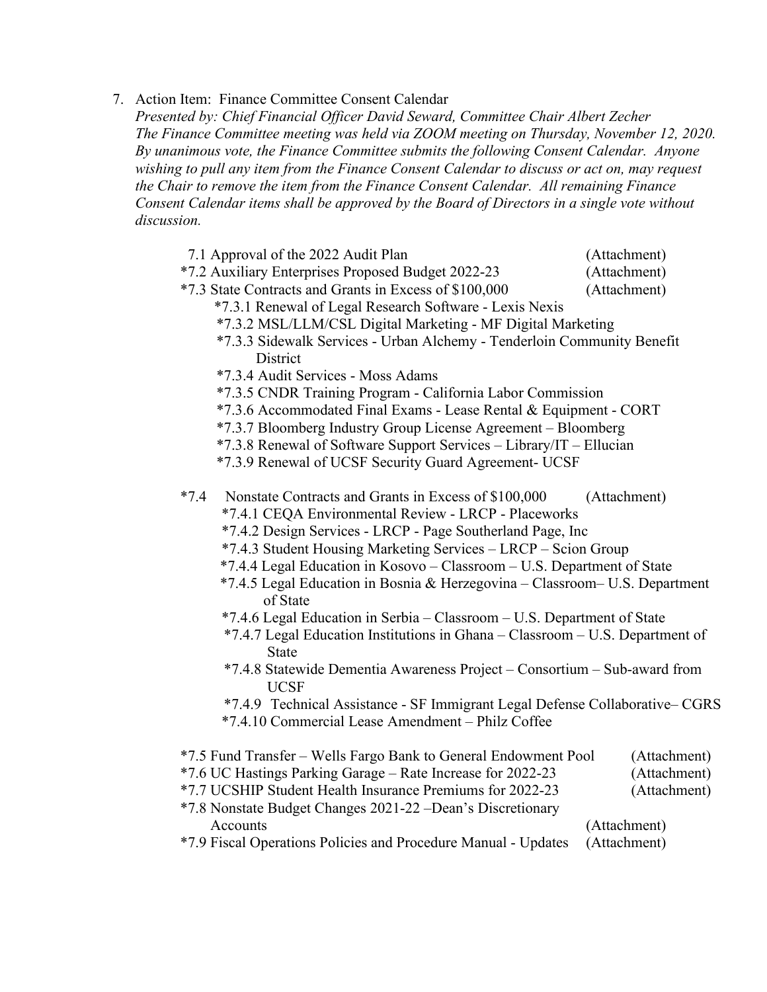7. Action Item: Finance Committee Consent Calendar

*Presented by: Chief Financial Officer David Seward, Committee Chair Albert Zecher The Finance Committee meeting was held via ZOOM meeting on Thursday, November 12, 2020. By unanimous vote, the Finance Committee submits the following Consent Calendar. Anyone wishing to pull any item from the Finance Consent Calendar to discuss or act on, may request the Chair to remove the item from the Finance Consent Calendar. All remaining Finance Consent Calendar items shall be approved by the Board of Directors in a single vote without discussion.*

- 7.1 Approval of the 2022 Audit Plan (Attachment)
- \*7.2 Auxiliary Enterprises Proposed Budget 2022-23 (Attachment)
- \*7.3 State Contracts and Grants in Excess of \$100,000 (Attachment)
	- \*7.3.1 Renewal of Legal Research Software Lexis Nexis
	- \*7.3.2 MSL/LLM/CSL Digital Marketing MF Digital Marketing
	- \*7.3.3 Sidewalk Services Urban Alchemy Tenderloin Community Benefit **District**
	- \*7.3.4 Audit Services Moss Adams
	- \*7.3.5 CNDR Training Program California Labor Commission
	- \*7.3.6 Accommodated Final Exams Lease Rental & Equipment CORT
	- \*7.3.7 Bloomberg Industry Group License Agreement Bloomberg
	- \*7.3.8 Renewal of Software Support Services Library/IT Ellucian
	- \*7.3.9 Renewal of UCSF Security Guard Agreement- UCSF
- \*7.4 Nonstate Contracts and Grants in Excess of \$100,000 (Attachment)
	- \*7.4.1 CEQA Environmental Review LRCP Placeworks
	- \*7.4.2 Design Services LRCP Page Southerland Page, Inc
	- \*7.4.3 Student Housing Marketing Services LRCP Scion Group
	- \*7.4.4 Legal Education in Kosovo Classroom U.S. Department of State
	- \*7.4.5 Legal Education in Bosnia & Herzegovina Classroom– U.S. Department of State
	- \*7.4.6 Legal Education in Serbia Classroom U.S. Department of State
	- \*7.4.7 Legal Education Institutions in Ghana Classroom U.S. Department of State
	- \*7.4.8 Statewide Dementia Awareness Project Consortium Sub-award from UCSF
	- \*7.4.9 Technical Assistance SF Immigrant Legal Defense Collaborative– CGRS
	- \*7.4.10 Commercial Lease Amendment Philz Coffee

| *7.5 Fund Transfer – Wells Fargo Bank to General Endowment Pool | (Attachment) |
|-----------------------------------------------------------------|--------------|
| *7.6 UC Hastings Parking Garage – Rate Increase for 2022-23     | (Attachment) |
| *7.7 UCSHIP Student Health Insurance Premiums for 2022-23       | (Attachment) |
| *7.8 Nonstate Budget Changes 2021-22 – Dean's Discretionary     |              |
| Accounts                                                        | (Attachment) |
| *7.9 Fiscal Operations Policies and Procedure Manual - Updates  | (Attachment) |